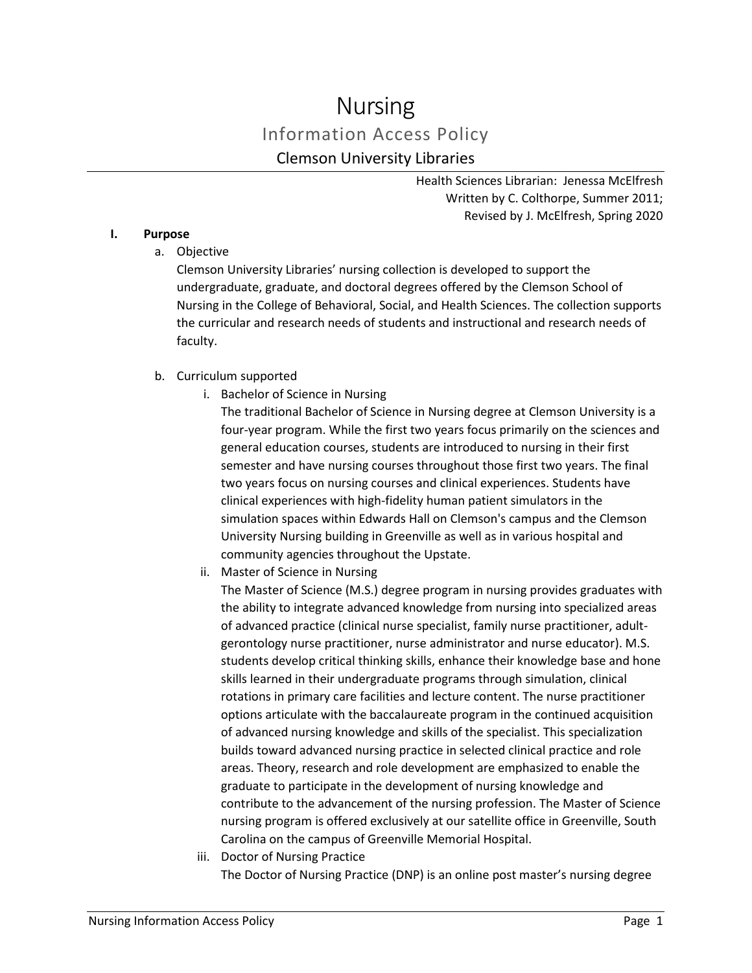# Nursing Information Access Policy Clemson University Libraries

Health Sciences Librarian: Jenessa McElfresh Written by C. Colthorpe, Summer 2011; Revised by J. McElfresh, Spring 2020

#### **I. Purpose**

a. Objective

Clemson University Libraries' nursing collection is developed to support the undergraduate, graduate, and doctoral degrees offered by the Clemson School of Nursing in the College of Behavioral, Social, and Health Sciences. The collection supports the curricular and research needs of students and instructional and research needs of faculty.

- b. Curriculum supported
	- i. Bachelor of Science in Nursing

The traditional Bachelor of Science in Nursing degree at Clemson University is a four-year program. While the first two years focus primarily on the sciences and general education courses, students are introduced to nursing in their first semester and have nursing courses throughout those first two years. The final two years focus on nursing courses and clinical experiences. Students have clinical experiences with high-fidelity human patient simulators in the simulation spaces within Edwards Hall on Clemson's campus and the Clemson University Nursing building in Greenville as well as in various hospital and community agencies throughout the Upstate.

ii. Master of Science in Nursing

The Master of Science (M.S.) degree program in nursing provides graduates with the ability to integrate advanced knowledge from nursing into specialized areas of advanced practice (clinical nurse specialist, family nurse practitioner, adultgerontology nurse practitioner, nurse administrator and nurse educator). M.S. students develop critical thinking skills, enhance their knowledge base and hone skills learned in their undergraduate programs through simulation, clinical rotations in primary care facilities and lecture content. The nurse practitioner options articulate with the baccalaureate program in the continued acquisition of advanced nursing knowledge and skills of the specialist. This specialization builds toward advanced nursing practice in selected clinical practice and role areas. Theory, research and role development are emphasized to enable the graduate to participate in the development of nursing knowledge and contribute to the advancement of the nursing profession. The Master of Science nursing program is offered exclusively at our satellite office in Greenville, South Carolina on the campus of Greenville Memorial Hospital.

iii. Doctor of Nursing Practice The Doctor of Nursing Practice (DNP) is an online post master's nursing degree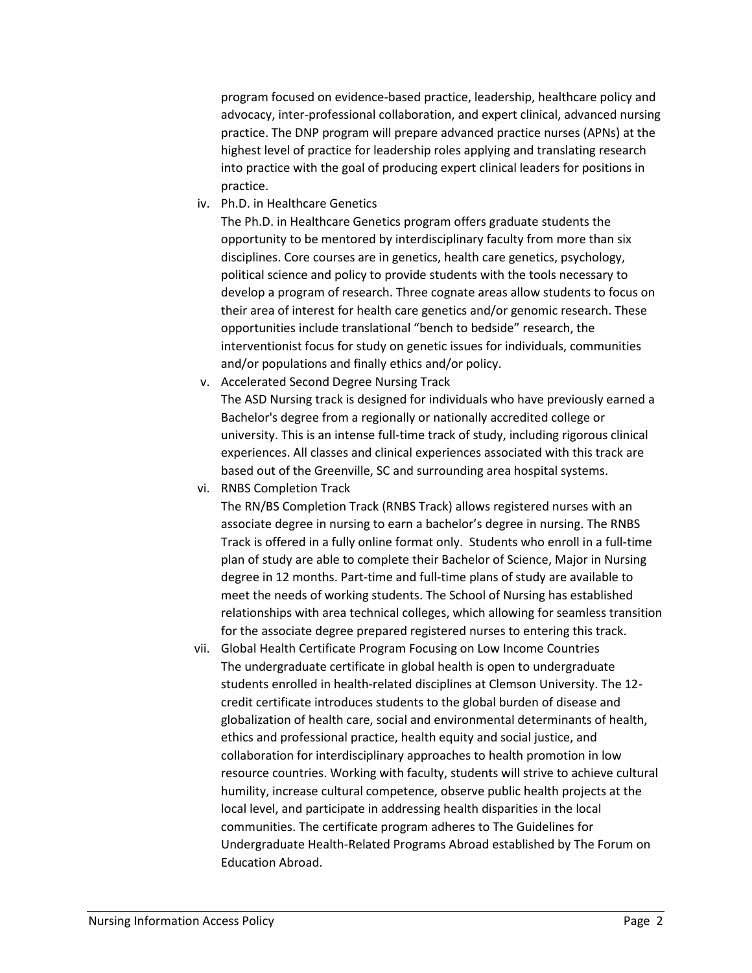program focused on evidence-based practice, leadership, healthcare policy and advocacy, inter-professional collaboration, and expert clinical, advanced nursing practice. The DNP program will prepare advanced practice nurses (APNs) at the highest level of practice for leadership roles applying and translating research into practice with the goal of producing expert clinical leaders for positions in practice.

iv. Ph.D. in Healthcare Genetics

The Ph.D. in Healthcare Genetics program offers graduate students the opportunity to be mentored by interdisciplinary faculty from more than six disciplines. Core courses are in genetics, health care genetics, psychology, political science and policy to provide students with the tools necessary to develop a program of research. Three cognate areas allow students to focus on their area of interest for health care genetics and/or genomic research. These opportunities include translational "bench to bedside" research, the interventionist focus for study on genetic issues for individuals, communities and/or populations and finally ethics and/or policy.

- v. Accelerated Second Degree Nursing Track The ASD Nursing track is designed for individuals who have previously earned a Bachelor's degree from a regionally or nationally accredited college or university. This is an intense full-time track of study, including rigorous clinical experiences. All classes and clinical experiences associated with this track are based out of the Greenville, SC and surrounding area hospital systems.
- vi. RNBS Completion Track

The RN/BS Completion Track (RNBS Track) allows registered nurses with an associate degree in nursing to earn a bachelor's degree in nursing. The RNBS Track is offered in a fully online format only. Students who enroll in a full-time plan of study are able to complete their Bachelor of Science, Major in Nursing degree in 12 months. Part-time and full-time plans of study are available to meet the needs of working students. The School of Nursing has established relationships with area technical colleges, which allowing for seamless transition for the associate degree prepared registered nurses to entering this track.

vii. Global Health Certificate Program Focusing on Low Income Countries The undergraduate certificate in global health is open to undergraduate students enrolled in health-related disciplines at Clemson University. The 12 credit certificate introduces students to the global burden of disease and globalization of health care, social and environmental determinants of health, ethics and professional practice, health equity and social justice, and collaboration for interdisciplinary approaches to health promotion in low resource countries. Working with faculty, students will strive to achieve cultural humility, increase cultural competence, observe public health projects at the local level, and participate in addressing health disparities in the local communities. The certificate program adheres to The Guidelines for Undergraduate Health-Related Programs Abroad established by The Forum on Education Abroad.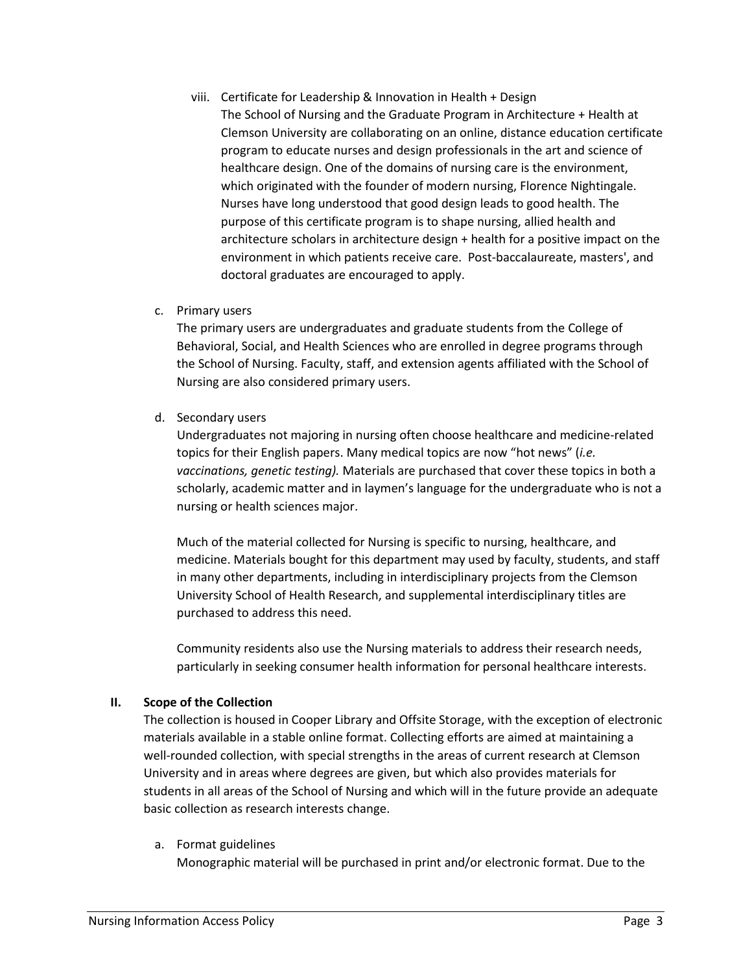- viii. Certificate for Leadership & Innovation in Health + Design The School of Nursing and the Graduate Program in Architecture + Health at Clemson University are collaborating on an online, distance education certificate program to educate nurses and design professionals in the art and science of healthcare design. One of the domains of nursing care is the environment, which originated with the founder of modern nursing, Florence Nightingale. Nurses have long understood that good design leads to good health. The purpose of this certificate program is to shape nursing, allied health and architecture scholars in architecture design + health for a positive impact on the environment in which patients receive care. Post-baccalaureate, masters', and doctoral graduates are encouraged to apply.
- c. Primary users

The primary users are undergraduates and graduate students from the College of Behavioral, Social, and Health Sciences who are enrolled in degree programs through the School of Nursing. Faculty, staff, and extension agents affiliated with the School of Nursing are also considered primary users.

d. Secondary users

Undergraduates not majoring in nursing often choose healthcare and medicine-related topics for their English papers. Many medical topics are now "hot news" (*i.e. vaccinations, genetic testing).* Materials are purchased that cover these topics in both a scholarly, academic matter and in laymen's language for the undergraduate who is not a nursing or health sciences major.

Much of the material collected for Nursing is specific to nursing, healthcare, and medicine. Materials bought for this department may used by faculty, students, and staff in many other departments, including in interdisciplinary projects from the Clemson University School of Health Research, and supplemental interdisciplinary titles are purchased to address this need.

Community residents also use the Nursing materials to address their research needs, particularly in seeking consumer health information for personal healthcare interests.

# **II. Scope of the Collection**

The collection is housed in Cooper Library and Offsite Storage, with the exception of electronic materials available in a stable online format. Collecting efforts are aimed at maintaining a well-rounded collection, with special strengths in the areas of current research at Clemson University and in areas where degrees are given, but which also provides materials for students in all areas of the School of Nursing and which will in the future provide an adequate basic collection as research interests change.

a. Format guidelines

Monographic material will be purchased in print and/or electronic format. Due to the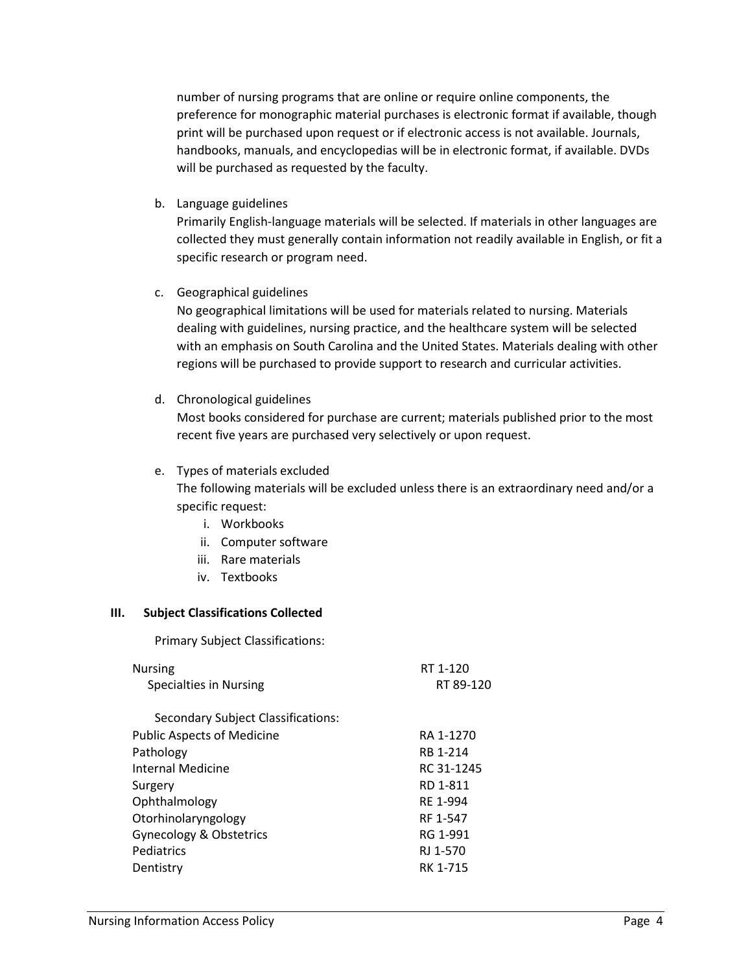number of nursing programs that are online or require online components, the preference for monographic material purchases is electronic format if available, though print will be purchased upon request or if electronic access is not available. Journals, handbooks, manuals, and encyclopedias will be in electronic format, if available. DVDs will be purchased as requested by the faculty.

b. Language guidelines

Primarily English-language materials will be selected. If materials in other languages are collected they must generally contain information not readily available in English, or fit a specific research or program need.

c. Geographical guidelines

No geographical limitations will be used for materials related to nursing. Materials dealing with guidelines, nursing practice, and the healthcare system will be selected with an emphasis on South Carolina and the United States. Materials dealing with other regions will be purchased to provide support to research and curricular activities.

d. Chronological guidelines

Most books considered for purchase are current; materials published prior to the most recent five years are purchased very selectively or upon request.

#### e. Types of materials excluded

The following materials will be excluded unless there is an extraordinary need and/or a specific request:

- i. Workbooks
- ii. Computer software
- iii. Rare materials
- iv. Textbooks

#### **III. Subject Classifications Collected**

Primary Subject Classifications:

| RT 1-120<br>RT 89-120 |
|-----------------------|
|                       |
| RA 1-1270             |
| RB 1-214              |
| RC 31-1245            |
| RD 1-811              |
| RF 1-994              |
| RF 1-547              |
| RG 1-991              |
| RJ 1-570              |
| RK 1-715              |
|                       |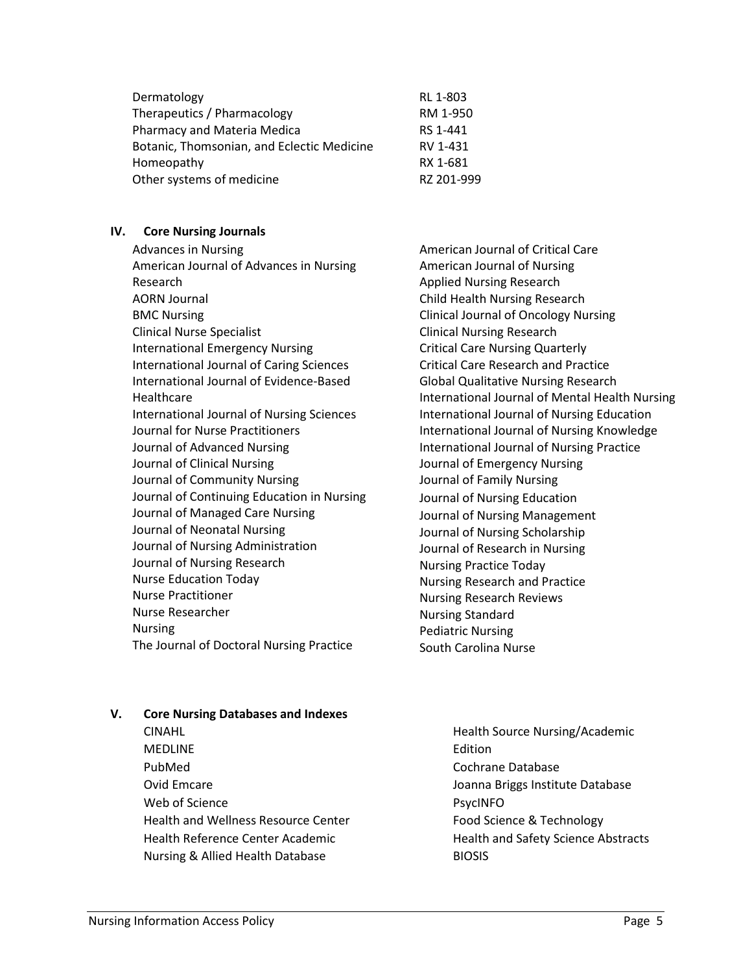| Dermatology                                | RL 1-803   |
|--------------------------------------------|------------|
| Therapeutics / Pharmacology                | RM 1-950   |
| Pharmacy and Materia Medica                | RS 1-441   |
| Botanic, Thomsonian, and Eclectic Medicine | RV 1-431   |
| Homeopathy                                 | RX 1-681   |
| Other systems of medicine                  | RZ 201-999 |

#### **IV. Core Nursing Journals**

Advances in Nursing American Journal of Advances in Nursing Research AORN Journal BMC Nursing Clinical Nurse Specialist International Emergency Nursing International Journal of Caring Sciences International Journal of Evidence-Based Healthcare International Journal of Nursing Sciences Journal for Nurse Practitioners Journal of Advanced Nursing Journal of Clinical Nursing Journal of Community Nursing Journal of Continuing Education in Nursing Journal of Managed Care Nursing Journal of Neonatal Nursing Journal of Nursing Administration Journal of Nursing Research Nurse Education Today Nurse Practitioner Nurse Researcher Nursing The Journal of Doctoral Nursing Practice

American Journal of Critical Care American Journal of Nursing Applied Nursing Research Child Health Nursing Research Clinical Journal of Oncology Nursing Clinical Nursing Research Critical Care Nursing Quarterly Critical Care Research and Practice Global Qualitative Nursing Research International Journal of Mental Health Nursing International Journal of Nursing Education International Journal of Nursing Knowledge International Journal of Nursing Practice Journal of Emergency Nursing Journal of Family Nursing Journal of Nursing Education Journal of Nursing Management Journal of Nursing Scholarship Journal of Research in Nursing Nursing Practice Today Nursing Research and Practice Nursing Research Reviews Nursing Standard Pediatric Nursing South Carolina Nurse

## **V. Core Nursing Databases and Indexes**

- CINAHL **MEDLINE** PubMed Ovid Emcare Web of Science Health and Wellness Resource Center Health Reference Center Academic Nursing & Allied Health Database
- Health Source Nursing/Academic Edition Cochrane Database Joanna Briggs Institute Database PsycINFO Food Science & Technology Health and Safety Science Abstracts BIOSIS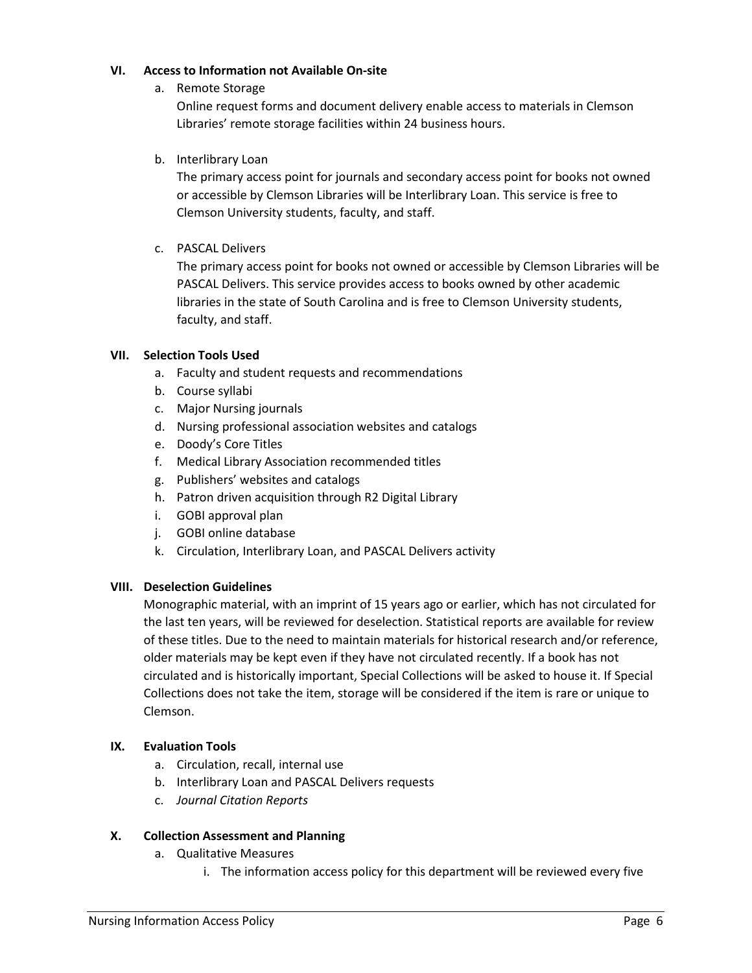#### **VI. Access to Information not Available On-site**

a. Remote Storage

Online request forms and document delivery enable access to materials in Clemson Libraries' remote storage facilities within 24 business hours.

b. Interlibrary Loan

The primary access point for journals and secondary access point for books not owned or accessible by Clemson Libraries will be Interlibrary Loan. This service is free to Clemson University students, faculty, and staff.

c. PASCAL Delivers

The primary access point for books not owned or accessible by Clemson Libraries will be PASCAL Delivers. This service provides access to books owned by other academic libraries in the state of South Carolina and is free to Clemson University students, faculty, and staff.

## **VII. Selection Tools Used**

- a. Faculty and student requests and recommendations
- b. Course syllabi
- c. Major Nursing journals
- d. Nursing professional association websites and catalogs
- e. Doody's Core Titles
- f. Medical Library Association recommended titles
- g. Publishers' websites and catalogs
- h. Patron driven acquisition through R2 Digital Library
- i. GOBI approval plan
- j. GOBI online database
- k. Circulation, Interlibrary Loan, and PASCAL Delivers activity

## **VIII. Deselection Guidelines**

Monographic material, with an imprint of 15 years ago or earlier, which has not circulated for the last ten years, will be reviewed for deselection. Statistical reports are available for review of these titles. Due to the need to maintain materials for historical research and/or reference, older materials may be kept even if they have not circulated recently. If a book has not circulated and is historically important, Special Collections will be asked to house it. If Special Collections does not take the item, storage will be considered if the item is rare or unique to Clemson.

# **IX. Evaluation Tools**

- a. Circulation, recall, internal use
- b. Interlibrary Loan and PASCAL Delivers requests
- c. *Journal Citation Reports*

## **X. Collection Assessment and Planning**

- a. Qualitative Measures
	- i. The information access policy for this department will be reviewed every five